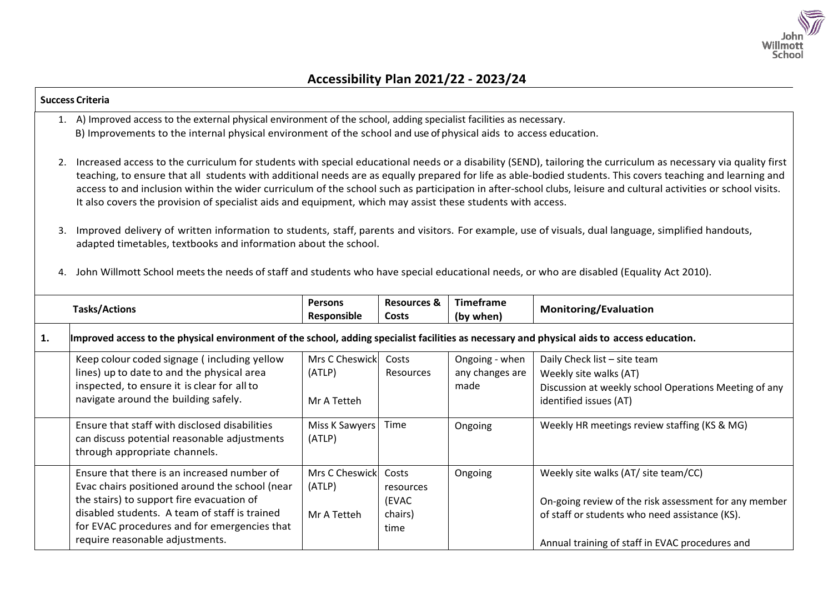

## **Success Criteria** 1. A) Improved access to the external physical environment of the school, adding specialist facilities as necessary. B) Improvements to the internal physical environment of the school and use of physical aids to access education. 2. Increased access to the curriculum for students with special educational needs or a disability (SEND), tailoring the curriculum as necessary via quality first teaching, to ensure that all students with additional needs are as equally prepared for life as able-bodied students. This covers teaching and learning and access to and inclusion within the wider curriculum of the school such as participation in after-school clubs, leisure and cultural activities or school visits. It also covers the provision of specialist aids and equipment, which may assist these students with access. 3. Improved delivery of written information to students, staff, parents and visitors. For example, use of visuals, dual language, simplified handouts, adapted timetables, textbooks and information about the school. 4. John Willmott School meets the needs of staff and students who have special educational needs, or who are disabled (Equality Act 2010). **Tasks/Actions Persons Responsible Resources & Costs Timeframe (by when) Monitoring/Evaluation** 1. Improved access to the physical environment of the school, adding specialist facilities as necessary and physical aids to access education. Keep colour coded signage ( including yellow lines) up to date to and the physical area inspected, to ensure it is clear for allto navigate around the building safely. Mrs C Cheswick (ATLP) Mr A Tetteh Costs Resources Ongoing - when any changes are made Daily Check list – site team Weekly site walks (AT) Discussion at weekly school Operations Meeting of any identified issues (AT) Ensure that staff with disclosed disabilities can discuss potential reasonable adjustments through appropriate channels. Miss K Sawyers (ATLP) Time | Ongoing | Weekly HR meetings review staffing (KS & MG) Ensure that there is an increased number of Evac chairs positioned around the school (near the stairs) to support fire evacuation of Mrs C Cheswick (ATLP) Costs resources (EVAC Ongoing Weekly site walks (AT/ site team/CC) On-going review of the risk assessment for any member

chairs) time

of staff or students who need assistance (KS).

Annual training of staff in EVAC procedures and

Mr A Tetteh

disabled students. A team of staff is trained for EVAC procedures and for emergencies that

require reasonable adjustments.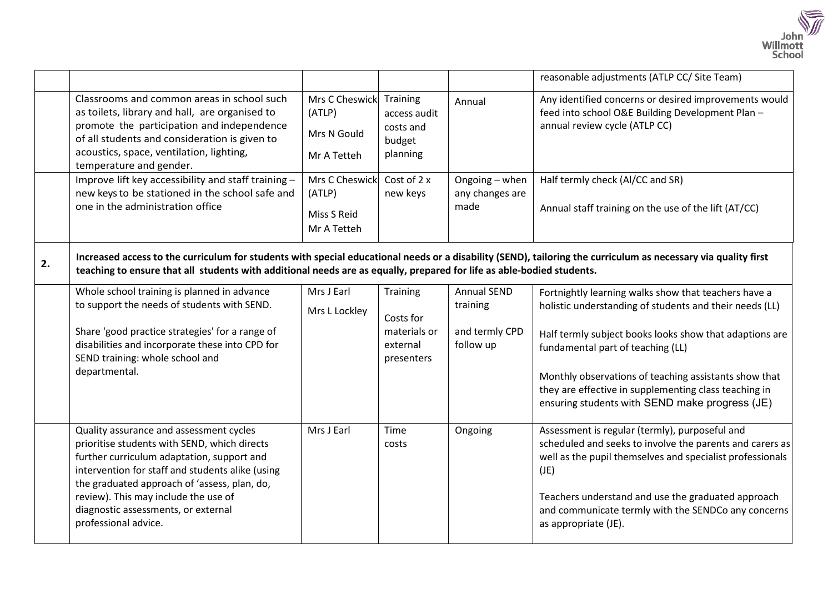

|    |                                                                                                                                                                                                                                                                                                                                                  |                                                                 |                                                                 |                                                               | reasonable adjustments (ATLP CC/ Site Team)                                                                                                                                                                                                                                                                                                                                         |  |  |
|----|--------------------------------------------------------------------------------------------------------------------------------------------------------------------------------------------------------------------------------------------------------------------------------------------------------------------------------------------------|-----------------------------------------------------------------|-----------------------------------------------------------------|---------------------------------------------------------------|-------------------------------------------------------------------------------------------------------------------------------------------------------------------------------------------------------------------------------------------------------------------------------------------------------------------------------------------------------------------------------------|--|--|
|    | Classrooms and common areas in school such<br>as toilets, library and hall, are organised to<br>promote the participation and independence<br>of all students and consideration is given to<br>acoustics, space, ventilation, lighting,<br>temperature and gender.                                                                               | Mrs C Cheswick Training<br>(ATLP)<br>Mrs N Gould<br>Mr A Tetteh | access audit<br>costs and<br>budget<br>planning                 | Annual                                                        | Any identified concerns or desired improvements would<br>feed into school O&E Building Development Plan -<br>annual review cycle (ATLP CC)                                                                                                                                                                                                                                          |  |  |
|    | Improve lift key accessibility and staff training -<br>new keys to be stationed in the school safe and<br>one in the administration office                                                                                                                                                                                                       | Mrs C Cheswick<br>(ATLP)<br>Miss S Reid<br>Mr A Tetteh          | Cost of 2 x<br>new keys                                         | Ongoing - when<br>any changes are<br>made                     | Half termly check (Al/CC and SR)<br>Annual staff training on the use of the lift (AT/CC)                                                                                                                                                                                                                                                                                            |  |  |
| 2. | Increased access to the curriculum for students with special educational needs or a disability (SEND), tailoring the curriculum as necessary via quality first<br>teaching to ensure that all students with additional needs are as equally, prepared for life as able-bodied students.                                                          |                                                                 |                                                                 |                                                               |                                                                                                                                                                                                                                                                                                                                                                                     |  |  |
|    | Whole school training is planned in advance<br>to support the needs of students with SEND.<br>Share 'good practice strategies' for a range of<br>disabilities and incorporate these into CPD for<br>SEND training: whole school and<br>departmental.                                                                                             | Mrs J Earl<br>Mrs L Lockley                                     | Training<br>Costs for<br>materials or<br>external<br>presenters | <b>Annual SEND</b><br>training<br>and termly CPD<br>follow up | Fortnightly learning walks show that teachers have a<br>holistic understanding of students and their needs (LL)<br>Half termly subject books looks show that adaptions are<br>fundamental part of teaching (LL)<br>Monthly observations of teaching assistants show that<br>they are effective in supplementing class teaching in<br>ensuring students with SEND make progress (JE) |  |  |
|    | Quality assurance and assessment cycles<br>prioritise students with SEND, which directs<br>further curriculum adaptation, support and<br>intervention for staff and students alike (using<br>the graduated approach of 'assess, plan, do,<br>review). This may include the use of<br>diagnostic assessments, or external<br>professional advice. | Mrs J Earl                                                      | Time<br>costs                                                   | Ongoing                                                       | Assessment is regular (termly), purposeful and<br>scheduled and seeks to involve the parents and carers as<br>well as the pupil themselves and specialist professionals<br>(JE)<br>Teachers understand and use the graduated approach<br>and communicate termly with the SENDCo any concerns<br>as appropriate (JE).                                                                |  |  |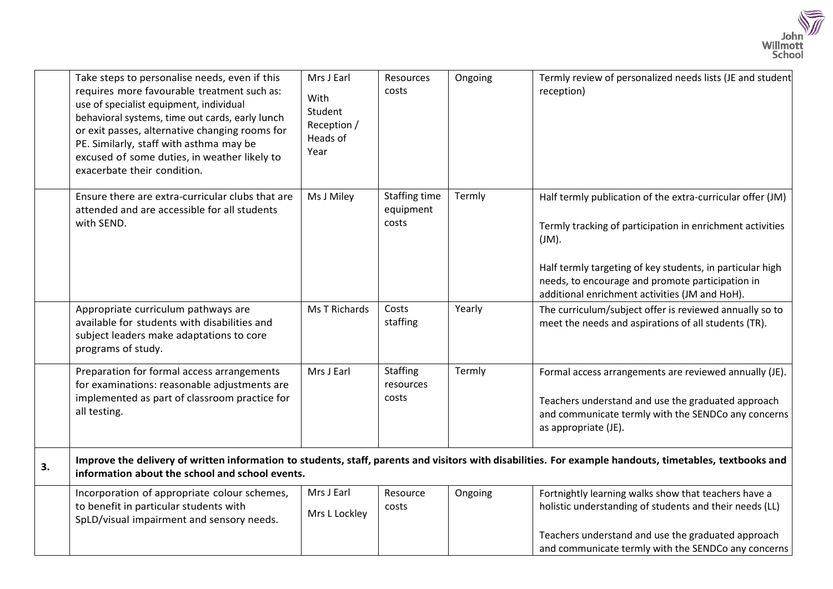

|    | Take steps to personalise needs, even if this<br>requires more favourable treatment such as:<br>use of specialist equipment, individual<br>behavioral systems, time out cards, early lunch<br>or exit passes, alternative changing rooms for<br>PE. Similarly, staff with asthma may be<br>excused of some duties, in weather likely to<br>exacerbate their condition. | Mrs J Earl<br>With<br>Student<br>Reception /<br>Heads of<br>Year | Resources<br>costs                         | Ongoing | Termly review of personalized needs lists (JE and student<br>reception)                                                                                                                                                                                                                                |  |
|----|------------------------------------------------------------------------------------------------------------------------------------------------------------------------------------------------------------------------------------------------------------------------------------------------------------------------------------------------------------------------|------------------------------------------------------------------|--------------------------------------------|---------|--------------------------------------------------------------------------------------------------------------------------------------------------------------------------------------------------------------------------------------------------------------------------------------------------------|--|
|    | Ensure there are extra-curricular clubs that are<br>attended and are accessible for all students<br>with SEND.                                                                                                                                                                                                                                                         | Ms J Miley                                                       | <b>Staffing time</b><br>equipment<br>costs | Termly  | Half termly publication of the extra-curricular offer (JM)<br>Termly tracking of participation in enrichment activities<br>$J(M)$ .<br>Half termly targeting of key students, in particular high<br>needs, to encourage and promote participation in<br>additional enrichment activities (JM and HoH). |  |
|    | Appropriate curriculum pathways are<br>available for students with disabilities and<br>subject leaders make adaptations to core<br>programs of study.                                                                                                                                                                                                                  | <b>Ms T Richards</b>                                             | Costs<br>staffing                          | Yearly  | The curriculum/subject offer is reviewed annually so to<br>meet the needs and aspirations of all students (TR).                                                                                                                                                                                        |  |
|    | Preparation for formal access arrangements<br>for examinations: reasonable adjustments are<br>implemented as part of classroom practice for<br>all testing.                                                                                                                                                                                                            | Mrs J Earl                                                       | <b>Staffing</b><br>resources<br>costs      | Termly  | Formal access arrangements are reviewed annually (JE).<br>Teachers understand and use the graduated approach<br>and communicate termly with the SENDCo any concerns<br>as appropriate (JE).                                                                                                            |  |
| 3. | Improve the delivery of written information to students, staff, parents and visitors with disabilities. For example handouts, timetables, textbooks and<br>information about the school and school events.                                                                                                                                                             |                                                                  |                                            |         |                                                                                                                                                                                                                                                                                                        |  |
|    | Incorporation of appropriate colour schemes,<br>to benefit in particular students with<br>SpLD/visual impairment and sensory needs.                                                                                                                                                                                                                                    | Mrs J Earl<br>Mrs L Lockley                                      | Resource<br>costs                          | Ongoing | Fortnightly learning walks show that teachers have a<br>holistic understanding of students and their needs (LL)<br>Teachers understand and use the graduated approach<br>and communicate termly with the SENDCo any concerns                                                                           |  |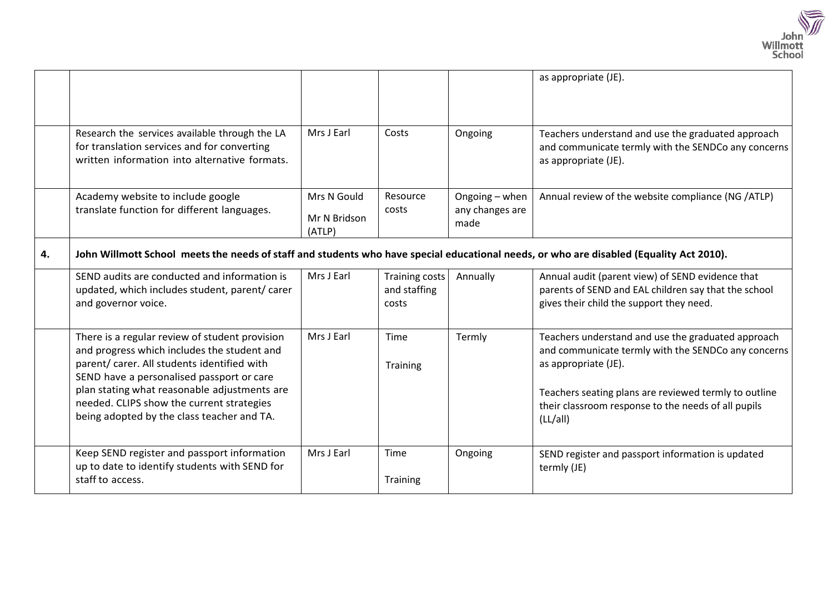

|    |                                                                                                                                                                                                                                                                                                                                      |                                       |                                         |                                           | as appropriate (JE).                                                                                                                                                                                                                                          |  |
|----|--------------------------------------------------------------------------------------------------------------------------------------------------------------------------------------------------------------------------------------------------------------------------------------------------------------------------------------|---------------------------------------|-----------------------------------------|-------------------------------------------|---------------------------------------------------------------------------------------------------------------------------------------------------------------------------------------------------------------------------------------------------------------|--|
|    | Research the services available through the LA<br>for translation services and for converting<br>written information into alternative formats.                                                                                                                                                                                       | Mrs J Earl                            | Costs                                   | Ongoing                                   | Teachers understand and use the graduated approach<br>and communicate termly with the SENDCo any concerns<br>as appropriate (JE).                                                                                                                             |  |
|    | Academy website to include google<br>translate function for different languages.                                                                                                                                                                                                                                                     | Mrs N Gould<br>Mr N Bridson<br>(ATLP) | Resource<br>costs                       | Ongoing - when<br>any changes are<br>made | Annual review of the website compliance (NG /ATLP)                                                                                                                                                                                                            |  |
| 4. | John Willmott School meets the needs of staff and students who have special educational needs, or who are disabled (Equality Act 2010).                                                                                                                                                                                              |                                       |                                         |                                           |                                                                                                                                                                                                                                                               |  |
|    | SEND audits are conducted and information is<br>updated, which includes student, parent/ carer<br>and governor voice.                                                                                                                                                                                                                | Mrs J Earl                            | Training costs<br>and staffing<br>costs | Annually                                  | Annual audit (parent view) of SEND evidence that<br>parents of SEND and EAL children say that the school<br>gives their child the support they need.                                                                                                          |  |
|    | There is a regular review of student provision<br>and progress which includes the student and<br>parent/ carer. All students identified with<br>SEND have a personalised passport or care<br>plan stating what reasonable adjustments are<br>needed. CLIPS show the current strategies<br>being adopted by the class teacher and TA. | Mrs J Earl                            | Time<br>Training                        | Termly                                    | Teachers understand and use the graduated approach<br>and communicate termly with the SENDCo any concerns<br>as appropriate (JE).<br>Teachers seating plans are reviewed termly to outline<br>their classroom response to the needs of all pupils<br>(LL/all) |  |
|    | Keep SEND register and passport information<br>up to date to identify students with SEND for<br>staff to access.                                                                                                                                                                                                                     | Mrs J Earl                            | Time<br>Training                        | Ongoing                                   | SEND register and passport information is updated<br>termly (JE)                                                                                                                                                                                              |  |